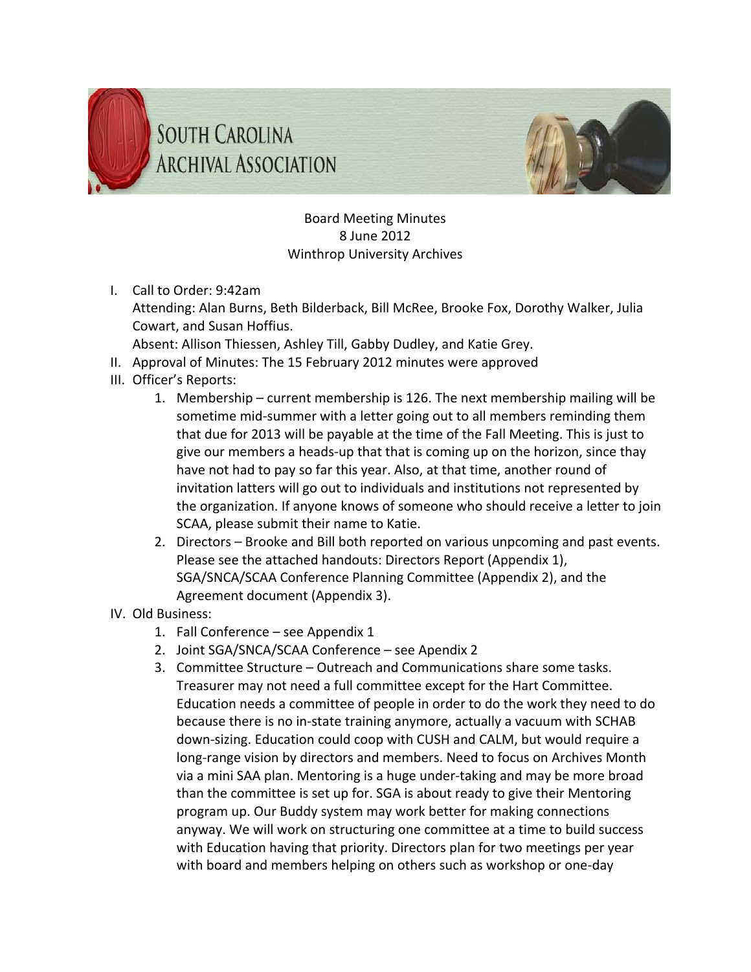



Board Meeting Minutes 8 June 2012 Winthrop University Archives

I. Call to Order: 9:42am

Attending: Alan Burns, Beth Bilderback, Bill McRee, Brooke Fox, Dorothy Walker, Julia Cowart, and Susan Hoffius.

Absent: Allison Thiessen, Ashley Till, Gabby Dudley, and Katie Grey.

- II. Approval of Minutes: The 15 February 2012 minutes were approved
- III. Officer's Reports:
	- 1. Membership current membership is 126. The next membership mailing will be sometime mid-summer with a letter going out to all members reminding them that due for 2013 will be payable at the time of the Fall Meeting. This is just to give our members a heads‐up that that is coming up on the horizon, since thay have not had to pay so far this year. Also, at that time, another round of invitation latters will go out to individuals and institutions not represented by the organization. If anyone knows of someone who should receive a letter to join SCAA, please submit their name to Katie.
	- 2. Directors Brooke and Bill both reported on various unpcoming and past events. Please see the attached handouts: Directors Report (Appendix 1), SGA/SNCA/SCAA Conference Planning Committee (Appendix 2), and the Agreement document (Appendix 3).
- IV. Old Business:
	- 1. Fall Conference see Appendix 1
	- 2. Joint SGA/SNCA/SCAA Conference see Apendix 2
	- 3. Committee Structure Outreach and Communications share some tasks. Treasurer may not need a full committee except for the Hart Committee. Education needs a committee of people in order to do the work they need to do because there is no in‐state training anymore, actually a vacuum with SCHAB down‐sizing. Education could coop with CUSH and CALM, but would require a long-range vision by directors and members. Need to focus on Archives Month via a mini SAA plan. Mentoring is a huge under‐taking and may be more broad than the committee is set up for. SGA is about ready to give their Mentoring program up. Our Buddy system may work better for making connections anyway. We will work on structuring one committee at a time to build success with Education having that priority. Directors plan for two meetings per year with board and members helping on others such as workshop or one‐day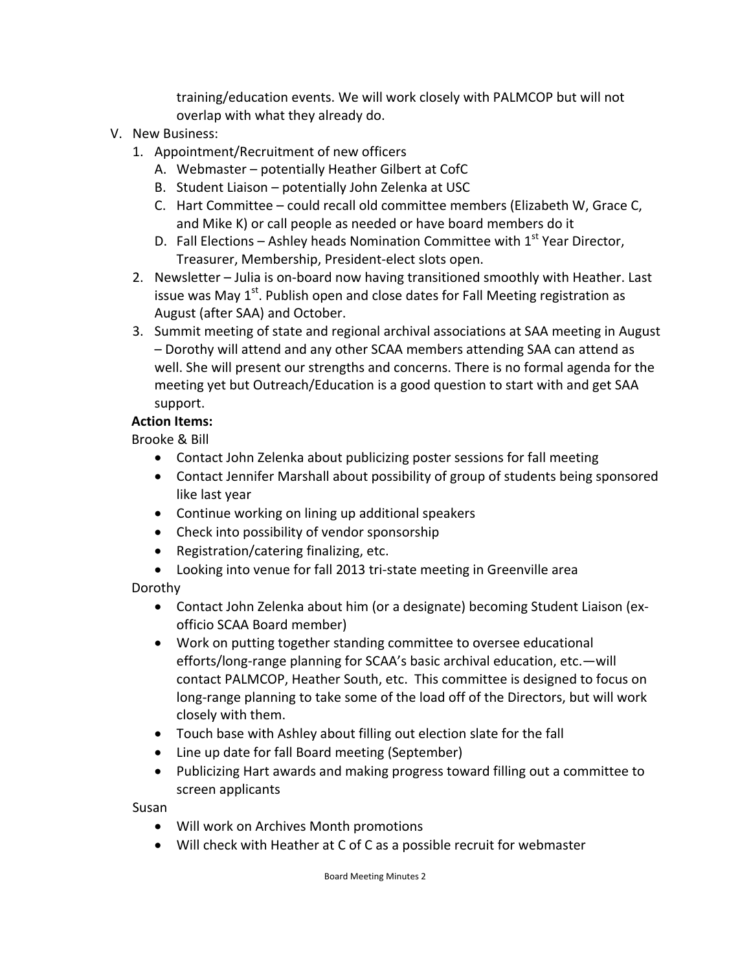training/education events. We will work closely with PALMCOP but will not overlap with what they already do.

- V. New Business:
	- 1. Appointment/Recruitment of new officers
		- A. Webmaster potentially Heather Gilbert at CofC
		- B. Student Liaison potentially John Zelenka at USC
		- C. Hart Committee could recall old committee members (Elizabeth W, Grace C, and Mike K) or call people as needed or have board members do it
		- D. Fall Elections Ashley heads Nomination Committee with  $1<sup>st</sup>$  Year Director, Treasurer, Membership, President‐elect slots open.
	- 2. Newsletter Julia is on-board now having transitioned smoothly with Heather. Last issue was May  $1^{st}$ . Publish open and close dates for Fall Meeting registration as August (after SAA) and October.
	- 3. Summit meeting of state and regional archival associations at SAA meeting in August – Dorothy will attend and any other SCAA members attending SAA can attend as well. She will present our strengths and concerns. There is no formal agenda for the meeting yet but Outreach/Education is a good question to start with and get SAA support.

## **Action Items:**

Brooke & Bill

- Contact John Zelenka about publicizing poster sessions for fall meeting
- Contact Jennifer Marshall about possibility of group of students being sponsored like last year
- Continue working on lining up additional speakers
- Check into possibility of vendor sponsorship
- Registration/catering finalizing, etc.
- Looking into venue for fall 2013 tri‐state meeting in Greenville area

Dorothy

- Contact John Zelenka about him (or a designate) becoming Student Liaison (ex-officio SCAA Board member)
- Work on putting together standing committee to oversee educational efforts/long-range planning for SCAA's basic archival education, etc.—will contact PALMCOP, Heather South, etc. This committee is designed to focus on long-range planning to take some of the load off of the Directors, but will work closely with them.
- Touch base with Ashley about filling out election slate for the fall
- Line up date for fall Board meeting (September)
- Publicizing Hart awards and making progress toward filling out a committee to screen applicants

Susan

- Will work on Archives Month promotions
- Will check with Heather at C of C as a possible recruit for webmaster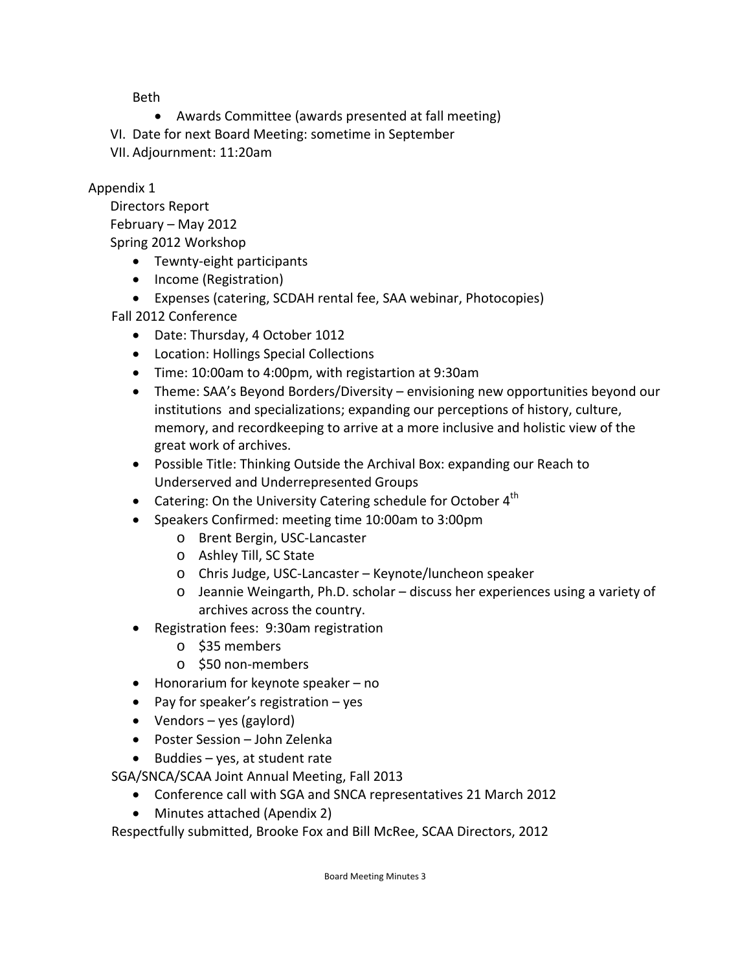Beth

- Awards Committee (awards presented at fall meeting)
- VI. Date for next Board Meeting: sometime in September
- VII. Adjournment: 11:20am

## Appendix 1

Directors Report February – May 2012 Spring 2012 Workshop

- Tewnty-eight participants
- Income (Registration)
- Expenses (catering, SCDAH rental fee, SAA webinar, Photocopies)

## Fall 2012 Conference

- Date: Thursday, 4 October 1012
- Location: Hollings Special Collections
- Time: 10:00am to 4:00pm, with registartion at 9:30am
- Theme: SAA's Beyond Borders/Diversity envisioning new opportunities beyond our institutions and specializations; expanding our perceptions of history, culture, memory, and recordkeeping to arrive at a more inclusive and holistic view of the great work of archives.
- Possible Title: Thinking Outside the Archival Box: expanding our Reach to Underserved and Underrepresented Groups
- Catering: On the University Catering schedule for October  $4<sup>th</sup>$
- Speakers Confirmed: meeting time 10:00am to 3:00pm
	- o Brent Bergin, USC‐Lancaster
	- o Ashley Till, SC State
	- o Chris Judge, USC‐Lancaster Keynote/luncheon speaker
	- o Jeannie Weingarth, Ph.D. scholar discuss her experiences using a variety of archives across the country.
- Registration fees: 9:30am registration
	- o \$35 members
	- o \$50 non‐members
- Honorarium for keynote speaker no
- Pay for speaker's registration  $-$  yes
- Vendors yes (gaylord)
- Poster Session John Zelenka
- $\bullet$  Buddies yes, at student rate

SGA/SNCA/SCAA Joint Annual Meeting, Fall 2013

- Conference call with SGA and SNCA representatives 21 March 2012
- Minutes attached (Apendix 2)

Respectfully submitted, Brooke Fox and Bill McRee, SCAA Directors, 2012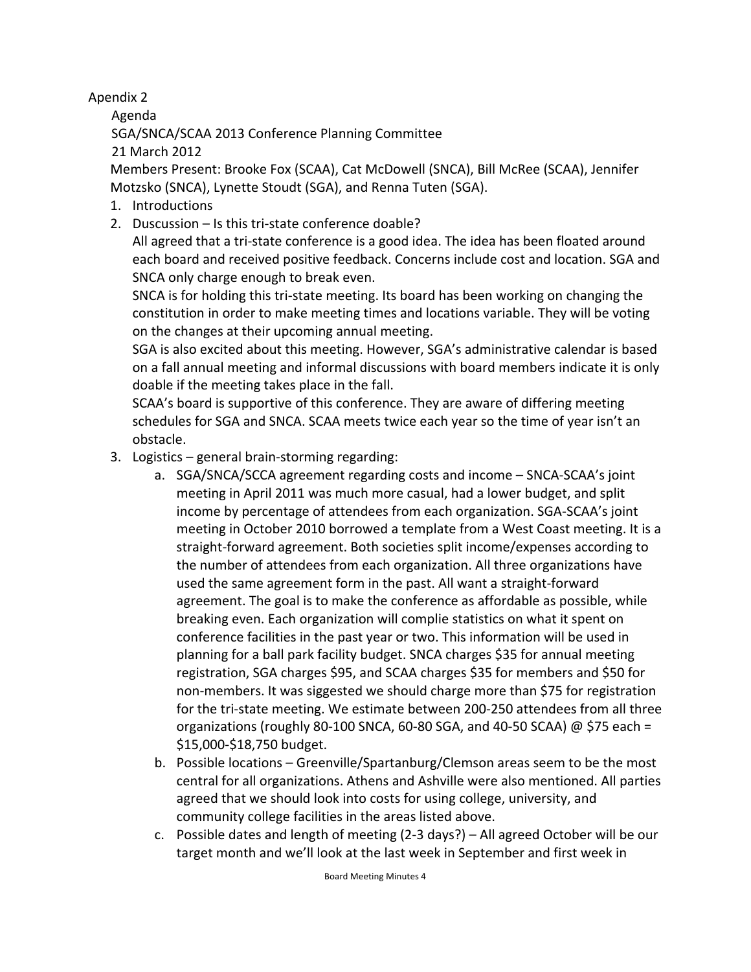Apendix 2

Agenda

SGA/SNCA/SCAA 2013 Conference Planning Committee

21 March 2012

Members Present: Brooke Fox (SCAA), Cat McDowell (SNCA), Bill McRee (SCAA), Jennifer Motzsko (SNCA), Lynette Stoudt (SGA), and Renna Tuten (SGA).

- 1. Introductions
- 2. Duscussion Is this tri‐state conference doable?

All agreed that a tri‐state conference is a good idea. The idea has been floated around each board and received positive feedback. Concerns include cost and location. SGA and SNCA only charge enough to break even.

SNCA is for holding this tri‐state meeting. Its board has been working on changing the constitution in order to make meeting times and locations variable. They will be voting on the changes at their upcoming annual meeting.

SGA is also excited about this meeting. However, SGA's administrative calendar is based on a fall annual meeting and informal discussions with board members indicate it is only doable if the meeting takes place in the fall.

SCAA's board is supportive of this conference. They are aware of differing meeting schedules for SGA and SNCA. SCAA meets twice each year so the time of year isn't an obstacle.

- 3. Logistics general brain‐storming regarding:
	- a. SGA/SNCA/SCCA agreement regarding costs and income SNCA‐SCAA's joint meeting in April 2011 was much more casual, had a lower budget, and split income by percentage of attendees from each organization. SGA‐SCAA's joint meeting in October 2010 borrowed a template from a West Coast meeting. It is a straight‐forward agreement. Both societies split income/expenses according to the number of attendees from each organization. All three organizations have used the same agreement form in the past. All want a straight‐forward agreement. The goal is to make the conference as affordable as possible, while breaking even. Each organization will complie statistics on what it spent on conference facilities in the past year or two. This information will be used in planning for a ball park facility budget. SNCA charges \$35 for annual meeting registration, SGA charges \$95, and SCAA charges \$35 for members and \$50 for non‐members. It was siggested we should charge more than \$75 for registration for the tri-state meeting. We estimate between 200-250 attendees from all three organizations (roughly 80-100 SNCA, 60-80 SGA, and 40-50 SCAA)  $\omega$  \$75 each = \$15,000‐\$18,750 budget.
	- b. Possible locations Greenville/Spartanburg/Clemson areas seem to be the most central for all organizations. Athens and Ashville were also mentioned. All parties agreed that we should look into costs for using college, university, and community college facilities in the areas listed above.
	- c. Possible dates and length of meeting (2‐3 days?) All agreed October will be our target month and we'll look at the last week in September and first week in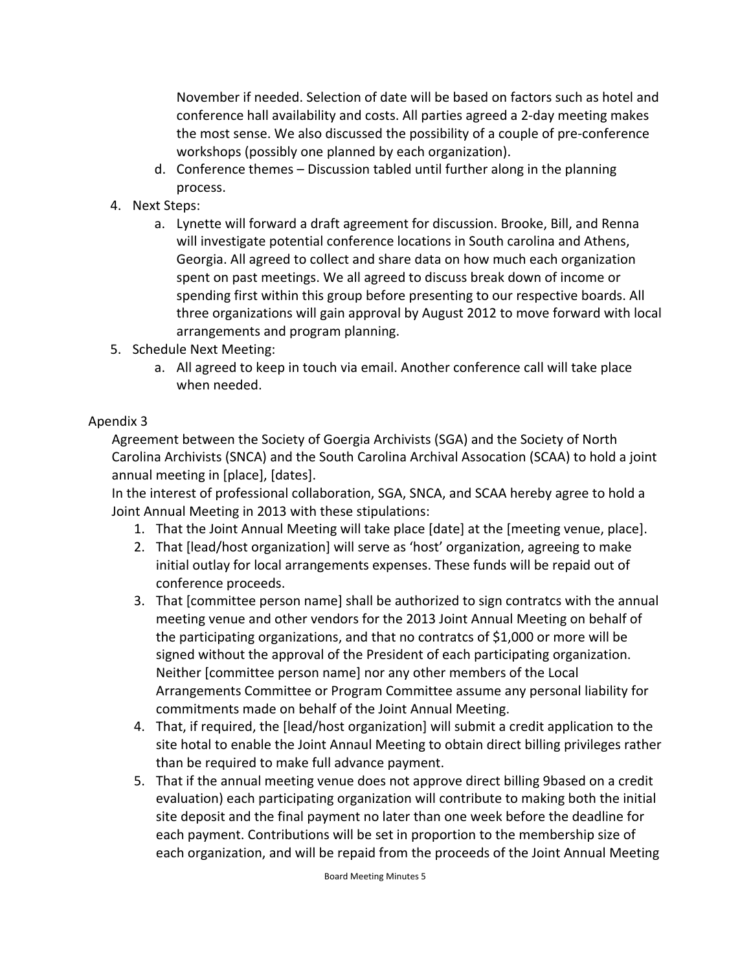November if needed. Selection of date will be based on factors such as hotel and conference hall availability and costs. All parties agreed a 2‐day meeting makes the most sense. We also discussed the possibility of a couple of pre‐conference workshops (possibly one planned by each organization).

- d. Conference themes Discussion tabled until further along in the planning process.
- 4. Next Steps:
	- a. Lynette will forward a draft agreement for discussion. Brooke, Bill, and Renna will investigate potential conference locations in South carolina and Athens, Georgia. All agreed to collect and share data on how much each organization spent on past meetings. We all agreed to discuss break down of income or spending first within this group before presenting to our respective boards. All three organizations will gain approval by August 2012 to move forward with local arrangements and program planning.
- 5. Schedule Next Meeting:
	- a. All agreed to keep in touch via email. Another conference call will take place when needed.

## Apendix 3

Agreement between the Society of Goergia Archivists (SGA) and the Society of North Carolina Archivists (SNCA) and the South Carolina Archival Assocation (SCAA) to hold a joint annual meeting in [place], [dates].

In the interest of professional collaboration, SGA, SNCA, and SCAA hereby agree to hold a Joint Annual Meeting in 2013 with these stipulations:

- 1. That the Joint Annual Meeting will take place [date] at the [meeting venue, place].
- 2. That [lead/host organization] will serve as 'host' organization, agreeing to make initial outlay for local arrangements expenses. These funds will be repaid out of conference proceeds.
- 3. That [committee person name] shall be authorized to sign contratcs with the annual meeting venue and other vendors for the 2013 Joint Annual Meeting on behalf of the participating organizations, and that no contratcs of \$1,000 or more will be signed without the approval of the President of each participating organization. Neither [committee person name] nor any other members of the Local Arrangements Committee or Program Committee assume any personal liability for commitments made on behalf of the Joint Annual Meeting.
- 4. That, if required, the [lead/host organization] will submit a credit application to the site hotal to enable the Joint Annaul Meeting to obtain direct billing privileges rather than be required to make full advance payment.
- 5. That if the annual meeting venue does not approve direct billing 9based on a credit evaluation) each participating organization will contribute to making both the initial site deposit and the final payment no later than one week before the deadline for each payment. Contributions will be set in proportion to the membership size of each organization, and will be repaid from the proceeds of the Joint Annual Meeting